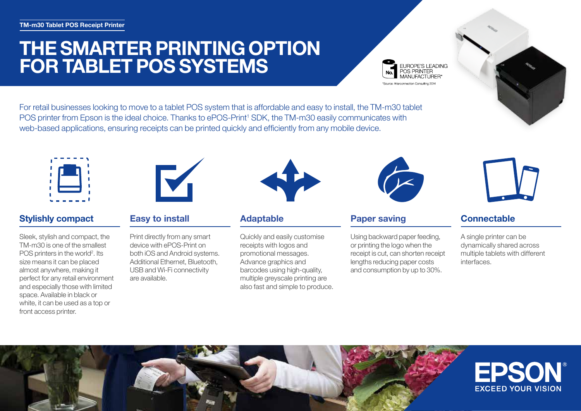# THE SMARTER PRINTING OPTION FOR TABLET POS SYSTEMS



For retail businesses looking to move to a tablet POS system that is affordable and easy to install, the TM-m30 tablet POS printer from Epson is the ideal choice. Thanks to ePOS-Print<sup>1</sup> SDK, the TM-m30 easily communicates with web-based applications, ensuring receipts can be printed quickly and efficiently from any mobile device.



## Stylishly compact Easy to install Adaptable Paper saving Connectable

Sleek, stylish and compact, the TM-m30 is one of the smallest POS printers in the world<sup>2</sup>. Its size means it can be placed almost anywhere, making it perfect for any retail environment and especially those with limited space. Available in black or white, it can be used as a top or front access printer.



Print directly from any smart device with ePOS-Print on both iOS and Android systems. Additional Ethernet, Bluetooth, USB and Wi-Fi connectivity are available.



Quickly and easily customise receipts with logos and promotional messages. Advance graphics and barcodes using high-quality, multiple greyscale printing are also fast and simple to produce.



Using backward paper feeding, or printing the logo when the receipt is cut, can shorten receipt lengths reducing paper costs and consumption by up to 30%.



A single printer can be dynamically shared across multiple tablets with different interfaces.



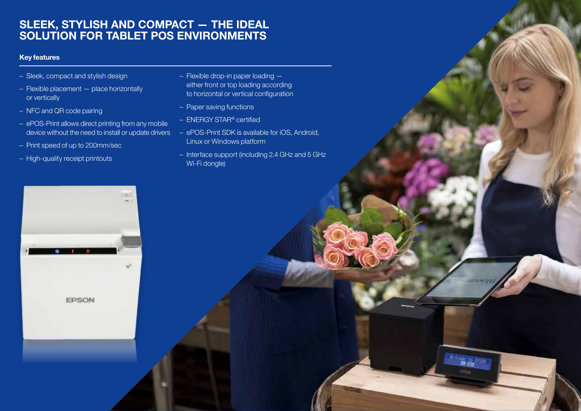# SLEEK, STYLISH AND COMPACT — THE IDEAL SOLUTION FOR TABLET POS ENVIRONMENTS

#### Key features

- Sleek, compact and stylish design
- Flexible placement place horizontally or vertically
- NFC and QR code pairing
- ePOS-Print allows direct printing from any mobile device without the need to install or update drivers
- Print speed of up to 200mm/sec
- High-quality receipt printouts



- Paper saving functions
- ENERGY STAR® certified
- ePOS-Print SDK is available for iOS, Android, Linux or Windows platform
- Interface support (including 2.4 GHz and 5 GHz Wi-Fi dongle)

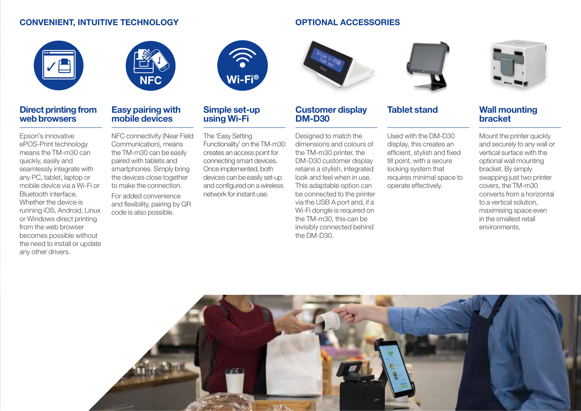#### CONVENIENT, INTUITIVE TECHNOLOGY

#### OPTIONAL ACCESSORIES



### Direct printing from web browsers

Epson's innovative ePOS-Print technology means the TM-m30 can quickly, easily and seamlessly integrate with any PC, tablet, laptop or mobile device via a Wi-Fi or Bluetooth interface. Whether the device is running iOS, Android, Linux or Windows direct printing from the web browser becomes possible without the need to install or update any other drivers.



### Easy pairing with mobile devices

NFC connectivity (Near Field Communication), means the TM-m30 can be easily paired with tablets and smartphones. Simply bring the devices close together to make the connection. For added convenience and flexibility, pairing by QR code is also possible.



### Simple set-up using Wi-Fi

The 'Easy Setting Functionality' on the TM-m30 creates an access point for connecting smart devices. Once implemented, both devices can be easily set-up and configured on a wireless network for instant use.



#### Customer display DM-D30

Designed to match the dimensions and colours of the TM-m30 printer, the DM-D30 customer display retains a stylish, integrated look and feel when in use. This adaptable option can be connected to the printer via the USB A port and, if a Wi-Fi dongle is required on the TM-m30, this can be invisibly connected behind the DM-D30.



Used with the DM-D30 display, this creates an efficient, stylish and fixed till point, with a secure locking system that requires minimal space to operate effectively.



### Tablet stand Wall mounting bracket

Mount the printer quickly and securely to any wall or vertical surface with the optional wall mounting bracket. By simply swapping just two printer covers, the TM-m30 converts from a horizontal to a vertical solution, maximising space even in the smallest retail environments.